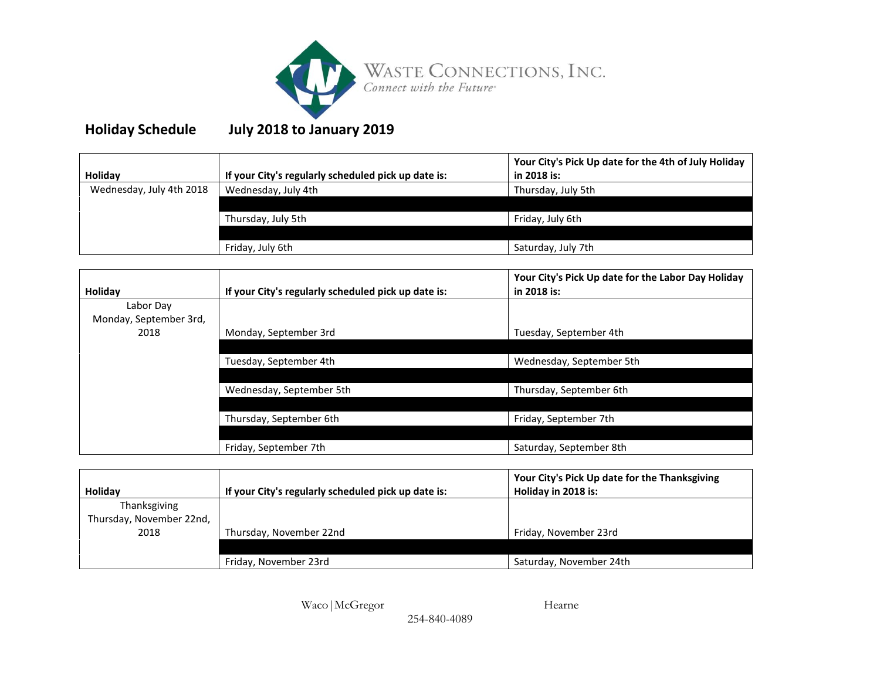

## **Holiday Schedule July 2018 to January 2019**

| <b>Holidav</b>           | If your City's regularly scheduled pick up date is: | Your City's Pick Up date for the 4th of July Holiday<br>in 2018 is: |
|--------------------------|-----------------------------------------------------|---------------------------------------------------------------------|
| Wednesday, July 4th 2018 | Wednesday, July 4th                                 | Thursday, July 5th                                                  |
|                          |                                                     |                                                                     |
|                          | Thursday, July 5th                                  | Friday, July 6th                                                    |
|                          |                                                     |                                                                     |
|                          | Friday, July 6th                                    | Saturday, July 7th                                                  |

| Holiday                | If your City's regularly scheduled pick up date is: | Your City's Pick Up date for the Labor Day Holiday<br>in 2018 is: |
|------------------------|-----------------------------------------------------|-------------------------------------------------------------------|
| Labor Day              |                                                     |                                                                   |
| Monday, September 3rd, |                                                     |                                                                   |
| 2018                   | Monday, September 3rd                               | Tuesday, September 4th                                            |
|                        |                                                     |                                                                   |
|                        | Tuesday, September 4th                              | Wednesday, September 5th                                          |
|                        |                                                     |                                                                   |
|                        | Wednesday, September 5th                            | Thursday, September 6th                                           |
|                        |                                                     |                                                                   |
|                        | Thursday, September 6th                             | Friday, September 7th                                             |
|                        |                                                     |                                                                   |
|                        | Friday, September 7th                               | Saturday, September 8th                                           |

| Holiday                  | If your City's regularly scheduled pick up date is: | Your City's Pick Up date for the Thanksgiving<br>Holiday in 2018 is: |
|--------------------------|-----------------------------------------------------|----------------------------------------------------------------------|
| Thanksgiving             |                                                     |                                                                      |
| Thursday, November 22nd, |                                                     |                                                                      |
| 2018                     | Thursday, November 22nd                             | Friday, November 23rd                                                |
|                          |                                                     |                                                                      |
|                          | Friday, November 23rd                               | Saturday, November 24th                                              |

Waco|McGregor Hearne

254-840-4089